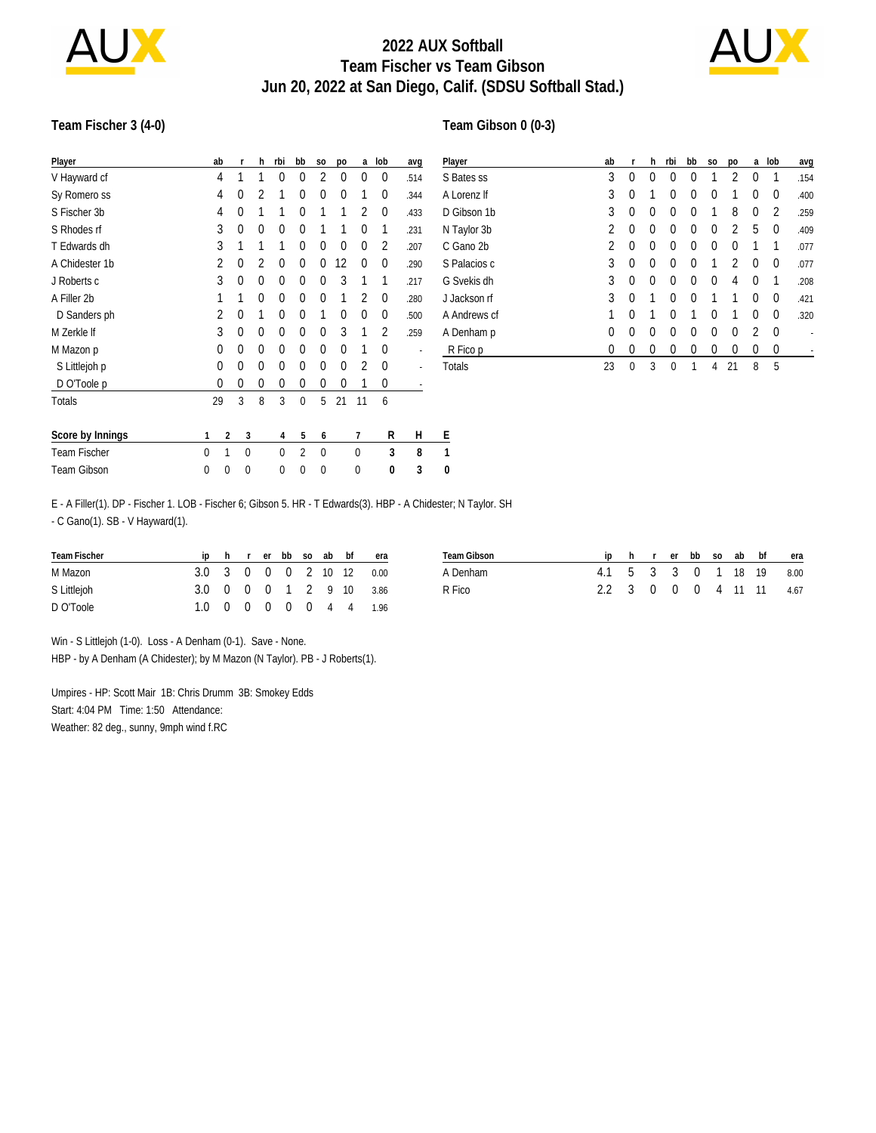

## **2022 AUX Softball Team Fischer vs Team Gibson Jun 20, 2022 at San Diego, Calif. (SDSU Softball Stad.)**

**Team Gibson 0 (0-3)**



#### **Team Fischer 3 (4-0)**

| Player              |          | ab       | r           | h | rbi      | bb       | S <sub>0</sub> | po       | a           | lob            | avq  | $\overline{P}$ |
|---------------------|----------|----------|-------------|---|----------|----------|----------------|----------|-------------|----------------|------|----------------|
| V Hayward cf        |          | 4        | 1           | 1 | 0        | 0        | $\overline{2}$ | 0        | $\theta$    | 0              | .514 | S              |
| Sy Romero ss        |          | 4        | $\Omega$    | 2 | 1        | $\Omega$ | 0              | 0        | 1           | 0              | .344 | Α              |
| S Fischer 3b        |          | 4        | 0           | 1 | 1        | $\Omega$ | 1              |          | 2           | 0              | .433 | D              |
| S Rhodes rf         |          | 3        | 0           | 0 | 0        | $\Omega$ | 1              |          | $\theta$    | 1              | .231 | Ν              |
| T Edwards dh        |          | 3        | 1           | 1 | 1        | $\Omega$ | 0              | $\Omega$ | $\theta$    | 2              | .207 | С              |
| A Chidester 1b      |          | 2        | 0           | 2 | 0        | $\Omega$ | 0              | 12       | $\theta$    | 0              | .290 | S              |
| J Roberts c         |          | 3        | 0           | 0 | 0        | $\Omega$ | 0              | 3        | 1           | 1              | .217 | G              |
| A Filler 2b         |          | 1        | 1           | 0 | 0        | $\Omega$ | 0              | 1        | 2           | 0              | .280 | J              |
| D Sanders ph        |          | 2        | 0           | 1 | 0        | $\Omega$ | 1              | 0        | $\Omega$    | 0              | .500 | Α              |
| M Zerkle If         |          | 3        | 0           | 0 | 0        | $\Omega$ | 0              | 3        | 1           | $\overline{2}$ | .259 | Α              |
| M Mazon p           |          | $\theta$ | 0           | 0 | 0        | $\Omega$ | 0              | 0<br>1   |             | 0              |      |                |
| S Littlejoh p       |          | $\theta$ | 0           | 0 | 0        | $\Omega$ | 0              | 0        | 2           | 0              |      | Т              |
| D O'Toole p         |          | 0        | 0           | 0 | 0        | 0        | 0              | 0        | 1           | 0              |      |                |
| <b>Totals</b>       |          | 29       | 3           | 8 | 3        | 0        | 5              | 21       | 11          | 6              |      |                |
| Score by Innings    | 1        | 2        |             | 3 | 4        | 5        | 6              |          | 7           | R              | Н    | E              |
| <b>Team Fischer</b> | $\Omega$ | 1        | $\mathbf 0$ |   | $\theta$ | 2        | 0              |          | $\mathbf 0$ | 3              | 8    | 1              |
| Team Gibson         | 0        | 0        |             | 0 | 0        | 0        | 0              |          | 0           | 0              | 3    | 0              |

| Player       | ab | r        | h        | rbi | bb       | S <sub>0</sub> | po | a        | lob      | avg  |
|--------------|----|----------|----------|-----|----------|----------------|----|----------|----------|------|
| S Bates ss   | 3  | 0        | 0        | 0   | 0        | 1              | 2  | 0        | 1        | .154 |
| A Lorenz If  | 3  | 0        | 1        | 0   | 0        | 0              | 1  | 0        | 0        | .400 |
| D Gibson 1b  | 3  | 0        | $\Omega$ | 0   | 0        | 1              | 8  | 0        | 2        | .259 |
| N Taylor 3b  | 2  | $\theta$ | $\Omega$ | 0   | 0        | $\Omega$       | 2  | 5        | $\Omega$ | .409 |
| C Gano 2b    | 2  | $\theta$ | $\Omega$ | 0   | 0        | 0              | 0  | 1        | 1        | .077 |
| S Palacios c | 3  | $\theta$ | $\Omega$ | 0   | $\theta$ | 1              | 2  | $\Omega$ | $\Omega$ | .077 |
| G Svekis dh  | 3  | $\theta$ | $\Omega$ | 0   | 0        | $\Omega$       | 4  | $\Omega$ | 1        | .208 |
| J Jackson rf | 3  | $\theta$ | 1        | 0   | 0        | 1              | 1  | $\Omega$ | $\Omega$ | .421 |
| A Andrews cf | 1  | 0        | 1        | 0   | 1        | 0              | 1  | 0        | 0        | .320 |
| A Denham p   | 0  | 0        | $\Omega$ | 0   | 0        | $\Omega$       | 0  | 2        | 0        |      |
| R Fico p     | 0  | 0        | 0        | 0   | 0        | 0              | 0  | 0        | 0        |      |
| Totals       | 23 | 0        | 3        | 0   | 1        | 4              | 21 | 8        | 5        |      |

E - A Filler(1). DP - Fischer 1. LOB - Fischer 6; Gibson 5. HR - T Edwards(3). HBP - A Chidester; N Taylor. SH - C Gano(1). SB - V Hayward(1).

| Team Fischer |  |  |  | iphrerbbsoabbf | era                      |
|--------------|--|--|--|----------------|--------------------------|
| M Mazon      |  |  |  |                | 3.0 3 0 0 0 2 10 12 0.00 |
| S Littlejoh  |  |  |  |                | 3.0 0 0 0 1 2 9 10 3.86  |
| D O'Toole    |  |  |  |                | 1.0 0 0 0 0 0 4 4 1.96   |

| Team Gibson |  |  |  |  | ip h r er bb so ab bf era |
|-------------|--|--|--|--|---------------------------|
| A Denham    |  |  |  |  | 4.1 5 3 3 0 1 18 19 8.00  |
| R Fico      |  |  |  |  | 2.2 3 0 0 0 4 11 11 4.67  |

Win - S Littlejoh (1-0). Loss - A Denham (0-1). Save - None.

HBP - by A Denham (A Chidester); by M Mazon (N Taylor). PB - J Roberts(1).

Umpires - HP: Scott Mair 1B: Chris Drumm 3B: Smokey Edds Start: 4:04 PM Time: 1:50 Attendance: Weather: 82 deg., sunny, 9mph wind f.RC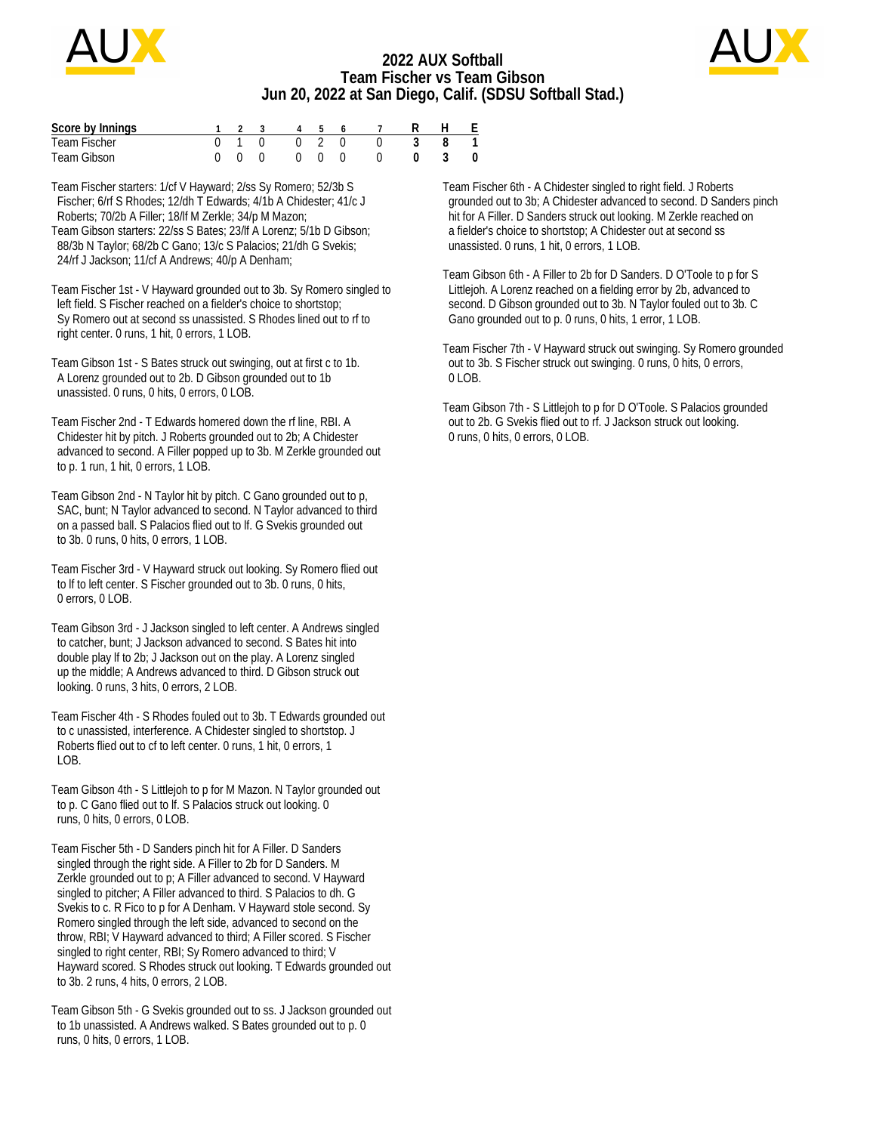

### **2022 AUX Softball Team Fischer vs Team Gibson Jun 20, 2022 at San Diego, Calif. (SDSU Softball Stad.)**



| Score by Innings |  |  |  | 1 2 3 4 5 6 7 R H E |  |  |
|------------------|--|--|--|---------------------|--|--|
| Team Fischer     |  |  |  | 0 1 0 0 2 0 0 3 8 1 |  |  |
| Team Gibson      |  |  |  | 0 0 0 0 0 0 0 0 3 0 |  |  |

Team Fischer starters: 1/cf V Hayward; 2/ss Sy Romero; 52/3b S Fischer; 6/rf S Rhodes; 12/dh T Edwards; 4/1b A Chidester; 41/c J Roberts; 70/2b A Filler; 18/lf M Zerkle; 34/p M Mazon; Team Gibson starters: 22/ss S Bates; 23/lf A Lorenz; 5/1b D Gibson; 88/3b N Taylor; 68/2b C Gano; 13/c S Palacios; 21/dh G Svekis; 24/rf J Jackson; 11/cf A Andrews; 40/p A Denham;

Team Fischer 1st - V Hayward grounded out to 3b. Sy Romero singled to left field. S Fischer reached on a fielder's choice to shortstop; Sy Romero out at second ss unassisted. S Rhodes lined out to rf to right center. 0 runs, 1 hit, 0 errors, 1 LOB.

Team Gibson 1st - S Bates struck out swinging, out at first c to 1b. A Lorenz grounded out to 2b. D Gibson grounded out to 1b unassisted. 0 runs, 0 hits, 0 errors, 0 LOB.

Team Fischer 2nd - T Edwards homered down the rf line, RBI. A Chidester hit by pitch. J Roberts grounded out to 2b; A Chidester advanced to second. A Filler popped up to 3b. M Zerkle grounded out to p. 1 run, 1 hit, 0 errors, 1 LOB.

Team Gibson 2nd - N Taylor hit by pitch. C Gano grounded out to p, SAC, bunt; N Taylor advanced to second. N Taylor advanced to third on a passed ball. S Palacios flied out to lf. G Svekis grounded out to 3b. 0 runs, 0 hits, 0 errors, 1 LOB.

Team Fischer 3rd - V Hayward struck out looking. Sy Romero flied out to lf to left center. S Fischer grounded out to 3b. 0 runs, 0 hits, 0 errors, 0 LOB.

Team Gibson 3rd - J Jackson singled to left center. A Andrews singled to catcher, bunt; J Jackson advanced to second. S Bates hit into double play lf to 2b; J Jackson out on the play. A Lorenz singled up the middle; A Andrews advanced to third. D Gibson struck out looking. 0 runs, 3 hits, 0 errors, 2 LOB.

Team Fischer 4th - S Rhodes fouled out to 3b. T Edwards grounded out to c unassisted, interference. A Chidester singled to shortstop. J Roberts flied out to cf to left center. 0 runs, 1 hit, 0 errors, 1  $LOB$ .

Team Gibson 4th - S Littlejoh to p for M Mazon. N Taylor grounded out to p. C Gano flied out to lf. S Palacios struck out looking. 0 runs, 0 hits, 0 errors, 0 LOB.

Team Fischer 5th - D Sanders pinch hit for A Filler. D Sanders singled through the right side. A Filler to 2b for D Sanders. M Zerkle grounded out to p; A Filler advanced to second. V Hayward singled to pitcher; A Filler advanced to third. S Palacios to dh. G Svekis to c. R Fico to p for A Denham. V Hayward stole second. Sy Romero singled through the left side, advanced to second on the throw, RBI; V Hayward advanced to third; A Filler scored. S Fischer singled to right center, RBI; Sy Romero advanced to third; V Hayward scored. S Rhodes struck out looking. T Edwards grounded out to 3b. 2 runs, 4 hits, 0 errors, 2 LOB.

Team Gibson 5th - G Svekis grounded out to ss. J Jackson grounded out to 1b unassisted. A Andrews walked. S Bates grounded out to p. 0 runs, 0 hits, 0 errors, 1 LOB.

Team Fischer 6th - A Chidester singled to right field. J Roberts grounded out to 3b; A Chidester advanced to second. D Sanders pinch hit for A Filler. D Sanders struck out looking. M Zerkle reached on a fielder's choice to shortstop; A Chidester out at second ss unassisted. 0 runs, 1 hit, 0 errors, 1 LOB.

Team Gibson 6th - A Filler to 2b for D Sanders. D O'Toole to p for S Littlejoh. A Lorenz reached on a fielding error by 2b, advanced to second. D Gibson grounded out to 3b. N Taylor fouled out to 3b. C Gano grounded out to p. 0 runs, 0 hits, 1 error, 1 LOB.

Team Fischer 7th - V Hayward struck out swinging. Sy Romero grounded out to 3b. S Fischer struck out swinging. 0 runs, 0 hits, 0 errors, 0 LOB.

Team Gibson 7th - S Littlejoh to p for D O'Toole. S Palacios grounded out to 2b. G Svekis flied out to rf. J Jackson struck out looking. 0 runs, 0 hits, 0 errors, 0 LOB.